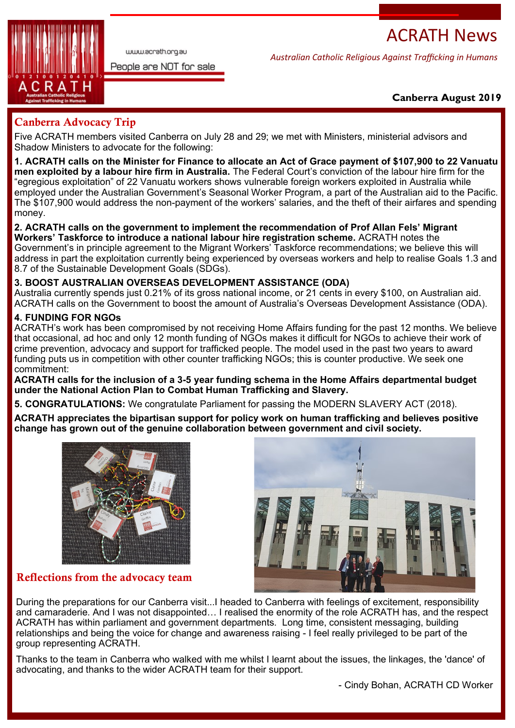# ACRATH News



www.acrath.org.au

People are NOT for sale

*Australian Catholic Religious Against Trafficking in Humans*

## **Canberra August 2019**

# Canberra Advocacy Trip

Five ACRATH members visited Canberra on July 28 and 29; we met with Ministers, ministerial advisors and Shadow Ministers to advocate for the following:

**1. ACRATH calls on the Minister for Finance to allocate an Act of Grace payment of \$107,900 to 22 Vanuatu men exploited by a labour hire firm in Australia.** The Federal Court's conviction of the labour hire firm for the "egregious exploitation" of 22 Vanuatu workers shows vulnerable foreign workers exploited in Australia while employed under the Australian Government's Seasonal Worker Program, a part of the Australian aid to the Pacific. The \$107,900 would address the non-payment of the workers' salaries, and the theft of their airfares and spending money.

#### **2. ACRATH calls on the government to implement the recommendation of Prof Allan Fels' Migrant Workers' Taskforce to introduce a national labour hire registration scheme.** ACRATH notes the Government's in principle agreement to the Migrant Workers' Taskforce recommendations; we believe this will address in part the exploitation currently being experienced by overseas workers and help to realise Goals 1.3 and 8.7 of the Sustainable Development Goals (SDGs).

## **3. BOOST AUSTRALIAN OVERSEAS DEVELOPMENT ASSISTANCE (ODA)**

Australia currently spends just 0.21% of its gross national income, or 21 cents in every \$100, on Australian aid. ACRATH calls on the Government to boost the amount of Australia's Overseas Development Assistance (ODA).

## **4. FUNDING FOR NGOs**

ACRATH's work has been compromised by not receiving Home Affairs funding for the past 12 months. We believe that occasional, ad hoc and only 12 month funding of NGOs makes it difficult for NGOs to achieve their work of crime prevention, advocacy and support for trafficked people. The model used in the past two years to award funding puts us in competition with other counter trafficking NGOs; this is counter productive. We seek one commitment:

**ACRATH calls for the inclusion of a 3-5 year funding schema in the Home Affairs departmental budget under the National Action Plan to Combat Human Trafficking and Slavery.**

**5. CONGRATULATIONS:** We congratulate Parliament for passing the MODERN SLAVERY ACT (2018).

**ACRATH appreciates the bipartisan support for policy work on human trafficking and believes positive change has grown out of the genuine collaboration between government and civil society.** 



Reflections from the advocacy team



During the preparations for our Canberra visit...I headed to Canberra with feelings of excitement, responsibility and camaraderie. And I was not disappointed… I realised the enormity of the role ACRATH has, and the respect ACRATH has within parliament and government departments. Long time, consistent messaging, building relationships and being the voice for change and awareness raising - I feel really privileged to be part of the group representing ACRATH.

Thanks to the team in Canberra who walked with me whilst I learnt about the issues, the linkages, the 'dance' of advocating, and thanks to the wider ACRATH team for their support.